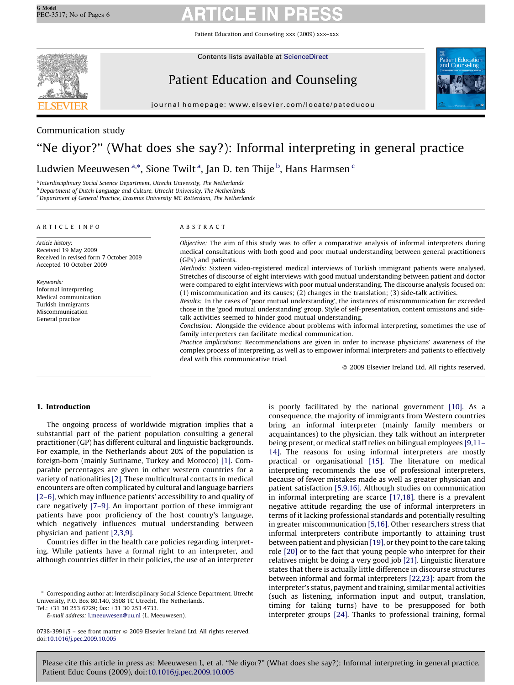Patient Education and Counseling xxx (2009) xxx–xxx



Contents lists available at [ScienceDirect](http://www.sciencedirect.com/science/journal/07383991)

# Patient Education and Counseling



journal homepage: www.elsevier.com/locate/pateducou

# Communication study

# ''Ne diyor?'' (What does she say?): Informal interpreting in general practice

Ludwien Meeuwesen <sup>a,</sup>\*, Sione Twilt <sup>a</sup>, Jan D. ten Thije <sup>b</sup>, Hans Harmsen <sup>c</sup>

<sup>a</sup> Interdisciplinary Social Science Department, Utrecht University, The Netherlands

**b** Department of Dutch Language and Culture, Utrecht University, The Netherlands

<sup>c</sup>Department of General Practice, Erasmus University MC Rotterdam, The Netherlands

### ARTICLE INFO

Article history: Received 19 May 2009 Received in revised form 7 October 2009 Accepted 10 October 2009

Keywords: Informal interpreting Medical communication Turkish immigrants Miscommunication General practice

# ABSTRACT

Objective: The aim of this study was to offer a comparative analysis of informal interpreters during medical consultations with both good and poor mutual understanding between general practitioners (GPs) and patients.

Methods: Sixteen video-registered medical interviews of Turkish immigrant patients were analysed. Stretches of discourse of eight interviews with good mutual understanding between patient and doctor were compared to eight interviews with poor mutual understanding. The discourse analysis focused on: (1) miscommunication and its causes; (2) changes in the translation; (3) side-talk activities.

Results: In the cases of 'poor mutual understanding', the instances of miscommunication far exceeded those in the 'good mutual understanding' group. Style of self-presentation, content omissions and sidetalk activities seemed to hinder good mutual understanding.

Conclusion: Alongside the evidence about problems with informal interpreting, sometimes the use of family interpreters can facilitate medical communication.

Practice implications: Recommendations are given in order to increase physicians' awareness of the complex process of interpreting, as well as to empower informal interpreters and patients to effectively deal with this communicative triad.

 $\odot$  2009 Elsevier Ireland Ltd. All rights reserved.

### 1. Introduction

The ongoing process of worldwide migration implies that a substantial part of the patient population consulting a general practitioner (GP) has different cultural and linguistic backgrounds. For example, in the Netherlands about 20% of the population is foreign-born (mainly Suriname, Turkey and Morocco) [\[1\]](#page-5-0). Comparable percentages are given in other western countries for a variety of nationalities [\[2\]](#page-5-0). These multicultural contacts in medical encounters are often complicated by cultural and language barriers [\[2–6\]](#page-5-0), which may influence patients' accessibility to and quality of care negatively [\[7–9\]](#page-5-0). An important portion of these immigrant patients have poor proficiency of the host country's language, which negatively influences mutual understanding between physician and patient [\[2,3,9\]](#page-5-0).

Countries differ in the health care policies regarding interpreting. While patients have a formal right to an interpreter, and although countries differ in their policies, the use of an interpreter

Tel.: +31 30 253 6729; fax: +31 30 253 4733.

E-mail address: [l.meeuwesen@uu.nl](mailto:l.meeuwesen@uu.nl) (L. Meeuwesen).

is poorly facilitated by the national government [\[10\].](#page-5-0) As a consequence, the majority of immigrants from Western countries bring an informal interpreter (mainly family members or acquaintances) to the physician, they talk without an interpreter being present, or medical staff relies on bilingual employees [\[9,11–](#page-5-0) [14\]](#page-5-0). The reasons for using informal interpreters are mostly practical or organisational [\[15\]](#page-5-0). The literature on medical interpreting recommends the use of professional interpreters, because of fewer mistakes made as well as greater physician and patient satisfaction [\[5,9,16\]](#page-5-0). Although studies on communication in informal interpreting are scarce [\[17,18\],](#page-5-0) there is a prevalent negative attitude regarding the use of informal interpreters in terms of it lacking professional standards and potentially resulting in greater miscommunication [\[5,16\]](#page-5-0). Other researchers stress that informal interpreters contribute importantly to attaining trust between patient and physician [\[19\]](#page-5-0), or they point to the care taking role [\[20\]](#page-5-0) or to the fact that young people who interpret for their relatives might be doing a very good job [\[21\]](#page-5-0). Linguistic literature states that there is actually little difference in discourse structures between informal and formal interpreters [\[22,23\]](#page-5-0): apart from the interpreter's status, payment and training, similar mental activities (such as listening, information input and output, translation, timing for taking turns) have to be presupposed for both interpreter groups [\[24\].](#page-5-0) Thanks to professional training, formal

Corresponding author at: Interdisciplinary Social Science Department, Utrecht University, P.O. Box 80.140, 3508 TC Utrecht, The Netherlands.

 $0738-3991/\$ \$ – see front matter  $\odot$  2009 Elsevier Ireland Ltd. All rights reserved. doi:[10.1016/j.pec.2009.10.005](http://dx.doi.org/10.1016/j.pec.2009.10.005)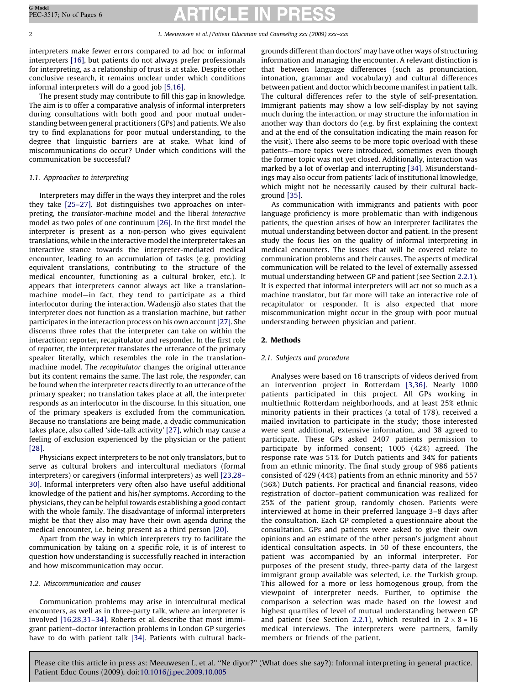interpreters make fewer errors compared to ad hoc or informal interpreters [\[16\],](#page-5-0) but patients do not always prefer professionals for interpreting, as a relationship of trust is at stake. Despite other conclusive research, it remains unclear under which conditions informal interpreters will do a good job [\[5,16\].](#page-5-0)

The present study may contribute to fill this gap in knowledge. The aim is to offer a comparative analysis of informal interpreters during consultations with both good and poor mutual understanding between general practitioners (GPs) and patients. We also try to find explanations for poor mutual understanding, to the degree that linguistic barriers are at stake. What kind of miscommunications do occur? Under which conditions will the communication be successful?

### 1.1. Approaches to interpreting

Interpreters may differ in the ways they interpret and the roles they take [\[25–27\]](#page-5-0). Bot distinguishes two approaches on interpreting, the translator-machine model and the liberal interactive model as two poles of one continuum [\[26\].](#page-5-0) In the first model the interpreter is present as a non-person who gives equivalent translations, while in the interactive model the interpreter takes an interactive stance towards the interpreter-mediated medical encounter, leading to an accumulation of tasks (e.g. providing equivalent translations, contributing to the structure of the medical encounter, functioning as a cultural broker, etc.). It appears that interpreters cannot always act like a translationmachine model—in fact, they tend to participate as a third interlocutor during the interaction. Wadensjö also states that the interpreter does not function as a translation machine, but rather participates in the interaction process on his own account [\[27\]](#page-5-0). She discerns three roles that the interpreter can take on within the interaction: reporter, recapitulator and responder. In the first role of reporter, the interpreter translates the utterance of the primary speaker literally, which resembles the role in the translationmachine model. The recapitulator changes the original utterance but its content remains the same. The last role, the responder, can be found when the interpreter reacts directly to an utterance of the primary speaker; no translation takes place at all, the interpreter responds as an interlocutor in the discourse. In this situation, one of the primary speakers is excluded from the communication. Because no translations are being made, a dyadic communication takes place, also called 'side-talk activity' [\[27\]](#page-5-0), which may cause a feeling of exclusion experienced by the physician or the patient [\[28\]](#page-5-0).

Physicians expect interpreters to be not only translators, but to serve as cultural brokers and intercultural mediators (formal interpreters) or caregivers (informal interpreters) as well [\[23,28–](#page-5-0) [30\]](#page-5-0). Informal interpreters very often also have useful additional knowledge of the patient and his/her symptoms. According to the physicians, they can be helpful towards establishing a good contact with the whole family. The disadvantage of informal interpreters might be that they also may have their own agenda during the medical encounter, i.e. being present as a third person [\[20\].](#page-5-0)

Apart from the way in which interpreters try to facilitate the communication by taking on a specific role, it is of interest to question how understanding is successfully reached in interaction and how miscommunication may occur.

# 1.2. Miscommunication and causes

Communication problems may arise in intercultural medical encounters, as well as in three-party talk, where an interpreter is involved [\[16,28,31–34\]](#page-5-0). Roberts et al. describe that most immigrant patient–doctor interaction problems in London GP surgeries have to do with patient talk [\[34\].](#page-5-0) Patients with cultural backgrounds different than doctors' may have other ways of structuring information and managing the encounter. A relevant distinction is that between language differences (such as pronunciation, intonation, grammar and vocabulary) and cultural differences between patient and doctor which become manifest in patient talk. The cultural differences refer to the style of self-presentation. Immigrant patients may show a low self-display by not saying much during the interaction, or may structure the information in another way than doctors do (e.g. by first explaining the context and at the end of the consultation indicating the main reason for the visit). There also seems to be more topic overload with these patients—more topics were introduced, sometimes even though the former topic was not yet closed. Additionally, interaction was marked by a lot of overlap and interrupting [\[34\]](#page-5-0). Misunderstandings may also occur from patients' lack of institutional knowledge, which might not be necessarily caused by their cultural background [\[35\].](#page-5-0)

As communication with immigrants and patients with poor language proficiency is more problematic than with indigenous patients, the question arises of how an interpreter facilitates the mutual understanding between doctor and patient. In the present study the focus lies on the quality of informal interpreting in medical encounters. The issues that will be covered relate to communication problems and their causes. The aspects of medical communication will be related to the level of externally assessed mutual understanding between GP and patient (see Section [2.2.1\)](#page-2-0). It is expected that informal interpreters will act not so much as a machine translator, but far more will take an interactive role of recapitulator or responder. It is also expected that more miscommunication might occur in the group with poor mutual understanding between physician and patient.

### 2. Methods

### 2.1. Subjects and procedure

Analyses were based on 16 transcripts of videos derived from an intervention project in Rotterdam [\[3,36\]](#page-5-0). Nearly 1000 patients participated in this project. All GPs working in multiethnic Rotterdam neighborhoods, and at least 25% ethnic minority patients in their practices (a total of 178), received a mailed invitation to participate in the study; those interested were sent additional, extensive information, and 38 agreed to participate. These GPs asked 2407 patients permission to participate by informed consent; 1005 (42%) agreed. The response rate was 51% for Dutch patients and 34% for patients from an ethnic minority. The final study group of 986 patients consisted of 429 (44%) patients from an ethnic minority and 557 (56%) Dutch patients. For practical and financial reasons, video registration of doctor–patient communication was realized for 25% of the patient group, randomly chosen. Patients were interviewed at home in their preferred language 3–8 days after the consultation. Each GP completed a questionnaire about the consultation. GPs and patients were asked to give their own opinions and an estimate of the other person's judgment about identical consultation aspects. In 50 of these encounters, the patient was accompanied by an informal interpreter. For purposes of the present study, three-party data of the largest immigrant group available was selected, i.e. the Turkish group. This allowed for a more or less homogenous group, from the viewpoint of interpreter needs. Further, to optimise the comparison a selection was made based on the lowest and highest quartiles of level of mutual understanding between GP and patient (see Section [2.2.1](#page-2-0)), which resulted in  $2 \times 8 = 16$ medical interviews. The interpreters were partners, family members or friends of the patient.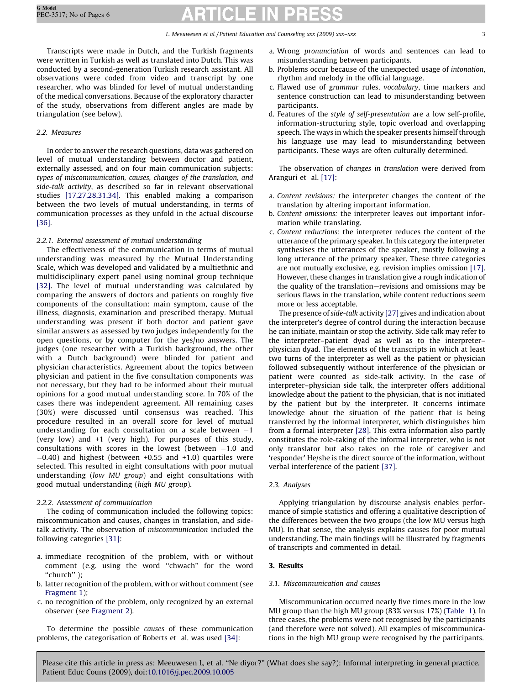<span id="page-2-0"></span>Transcripts were made in Dutch, and the Turkish fragments were written in Turkish as well as translated into Dutch. This was conducted by a second-generation Turkish research assistant. All observations were coded from video and transcript by one researcher, who was blinded for level of mutual understanding of the medical conversations. Because of the exploratory character of the study, observations from different angles are made by triangulation (see below).

# 2.2. Measures

In order to answer the research questions, data was gathered on level of mutual understanding between doctor and patient, externally assessed, and on four main communication subjects: types of miscommunication, causes, changes of the translation, and side-talk activity, as described so far in relevant observational studies [\[17,27,28,31,34\].](#page-5-0) This enabled making a comparison between the two levels of mutual understanding, in terms of communication processes as they unfold in the actual discourse [\[36\]](#page-5-0).

# 2.2.1. External assessment of mutual understanding

The effectiveness of the communication in terms of mutual understanding was measured by the Mutual Understanding Scale, which was developed and validated by a multiethnic and multidisciplinary expert panel using nominal group technique [\[32\].](#page-5-0) The level of mutual understanding was calculated by comparing the answers of doctors and patients on roughly five components of the consultation: main symptom, cause of the illness, diagnosis, examination and prescribed therapy. Mutual understanding was present if both doctor and patient gave similar answers as assessed by two judges independently for the open questions, or by computer for the yes/no answers. The judges (one researcher with a Turkish background, the other with a Dutch background) were blinded for patient and physician characteristics. Agreement about the topics between physician and patient in the five consultation components was not necessary, but they had to be informed about their mutual opinions for a good mutual understanding score. In 70% of the cases there was independent agreement. All remaining cases (30%) were discussed until consensus was reached. This procedure resulted in an overall score for level of mutual understanding for each consultation on a scale between  $-1$ (very low) and +1 (very high). For purposes of this study, consultations with scores in the lowest (between  $-1.0$  and  $-0.40$ ) and highest (between  $+0.55$  and  $+1.0$ ) quartiles were selected. This resulted in eight consultations with poor mutual understanding (low MU group) and eight consultations with good mutual understanding (high MU group).

# 2.2.2. Assessment of communication

The coding of communication included the following topics: miscommunication and causes, changes in translation, and sidetalk activity. The observation of miscommunication included the following categories [\[31\]:](#page-5-0)

- a. immediate recognition of the problem, with or without comment (e.g. using the word ''chwach'' for the word ''church'' );
- b. latter recognition of the problem, with or without comment (see [Fragment 1](#page-3-0));
- c. no recognition of the problem, only recognized by an external observer (see [Fragment 2](#page-3-0)).

To determine the possible causes of these communication problems, the categorisation of Roberts et al. was used [\[34\]:](#page-5-0)

- a. Wrong pronunciation of words and sentences can lead to misunderstanding between participants.
- b. Problems occur because of the unexpected usage of intonation, rhythm and melody in the official language.
- c. Flawed use of grammar rules, vocabulary, time markers and sentence construction can lead to misunderstanding between participants.
- d. Features of the style of self-presentation are a low self-profile, information-structuring style, topic overload and overlapping speech. The ways in which the speaker presents himself through his language use may lead to misunderstanding between participants. These ways are often culturally determined.

The observation of changes in translation were derived from Aranguri et al. [\[17\]:](#page-5-0)

- a. Content revisions: the interpreter changes the content of the translation by altering important information.
- b. Content omissions: the interpreter leaves out important information while translating.
- c. Content reductions: the interpreter reduces the content of the utterance of the primary speaker. In this category the interpreter synthesises the utterances of the speaker, mostly following a long utterance of the primary speaker. These three categories are not mutually exclusive, e.g. revision implies omission [\[17\].](#page-5-0) However, these changes in translation give a rough indication of the quality of the translation—revisions and omissions may be serious flaws in the translation, while content reductions seem more or less acceptable.

The presence of side-talk activity [\[27\]](#page-5-0) gives and indication about the interpreter's degree of control during the interaction because he can initiate, maintain or stop the activity. Side talk may refer to the interpreter–patient dyad as well as to the interpreter– physician dyad. The elements of the transcripts in which at least two turns of the interpreter as well as the patient or physician followed subsequently without interference of the physician or patient were counted as side-talk activity. In the case of interpreter–physician side talk, the interpreter offers additional knowledge about the patient to the physician, that is not initiated by the patient but by the interpreter. It concerns intimate knowledge about the situation of the patient that is being transferred by the informal interpreter, which distinguishes him from a formal interpreter [\[28\].](#page-5-0) This extra information also partly constitutes the role-taking of the informal interpreter, who is not only translator but also takes on the role of caregiver and 'responder' He/she is the direct source of the information, without verbal interference of the patient [\[37\]](#page-5-0).

# 2.3. Analyses

Applying triangulation by discourse analysis enables performance of simple statistics and offering a qualitative description of the differences between the two groups (the low MU versus high MU). In that sense, the analysis explains causes for poor mutual understanding. The main findings will be illustrated by fragments of transcripts and commented in detail.

# 3. Results

### 3.1. Miscommunication and causes

Miscommunication occurred nearly five times more in the low MU group than the high MU group (83% versus 17%) [\(Table 1\)](#page-3-0). In three cases, the problems were not recognised by the participants (and therefore were not solved). All examples of miscommunications in the high MU group were recognised by the participants.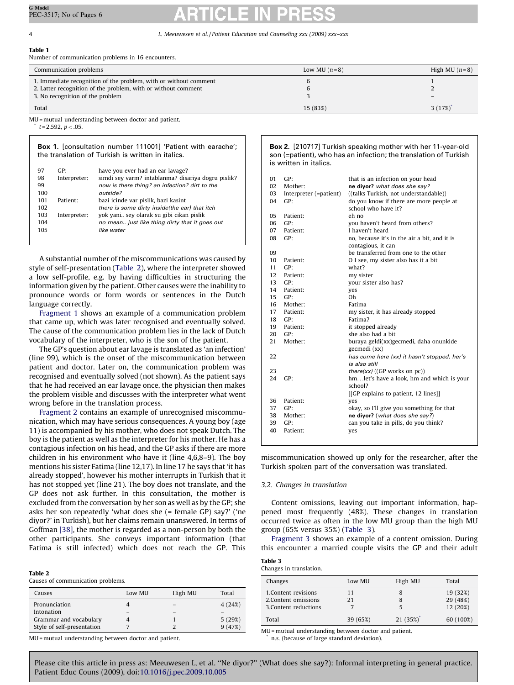<span id="page-3-0"></span>Table 1

Number of communication problems in 16 encounters.

| Communication problems                                                                                                            | Low MU $(n=8)$ | High MU $(n=8)$ |
|-----------------------------------------------------------------------------------------------------------------------------------|----------------|-----------------|
| 1. Immediate recognition of the problem, with or without comment<br>2. Latter recognition of the problem, with or without comment |                |                 |
| 3. No recognition of the problem<br>Total                                                                                         | 15 (83%)       | 3(17%)          |

MU = mutual understanding between doctor and patient.  $t = 2.592, p < .05.$ 

Box 1. [consultation number 111001] 'Patient with earache'; the translation of Turkish is written in italics. 97 GP: have you ever had an ear lavage?<br>98 Interpreter: simdi sey varm? intablanma? dis. simdi sey varm? intablanma? disariya dogru pislik? 99 now is there thing? an infection? dirt to the 100 outside? 101 Patient: bazi icinde var pislik, bazi kasint 102 there is some dirty inside(the ear) that itch 103 Interpreter: yok yani.. sey olarak su gibi cikan pislik 104 no mean.. just like thing dirty that it goes out 105 like water

A substantial number of the miscommunications was caused by style of self-presentation (Table 2), where the interpreter showed a low self-profile, e.g. by having difficulties in structuring the information given by the patient. Other causes were the inability to pronounce words or form words or sentences in the Dutch language correctly.

Fragment 1 shows an example of a communication problem that came up, which was later recognised and eventually solved. The cause of the communication problem lies in the lack of Dutch vocabulary of the interpreter, who is the son of the patient.

The GP's question about ear lavage is translated as 'an infection' (line 99), which is the onset of the miscommunication between patient and doctor. Later on, the communication problem was recognised and eventually solved (not shown). As the patient says that he had received an ear lavage once, the physician then makes the problem visible and discusses with the interpreter what went wrong before in the translation process.

Fragment 2 contains an example of unrecognised miscommunication, which may have serious consequences. A young boy (age 11) is accompanied by his mother, who does not speak Dutch. The boy is the patient as well as the interpreter for his mother. He has a contagious infection on his head, and the GP asks if there are more children in his environment who have it (line 4,6,8–9). The boy mentions his sister Fatima (line 12,17). In line 17 he says that 'it has already stopped', however his mother interrupts in Turkish that it has not stopped yet (line 21). The boy does not translate, and the GP does not ask further. In this consultation, the mother is excluded from the conversation by her son as well as by the GP; she asks her son repeatedly 'what does she (= female GP) say?' ('ne diyor?' in Turkish), but her claims remain unanswered. In terms of Goffman [\[38\],](#page-5-0) the mother is regarded as a non-person by both the other participants. She conveys important information (that Fatima is still infected) which does not reach the GP. This

#### Table 2

Causes of communication problems.

| Causes                     | Low MU | High MU | Total  |
|----------------------------|--------|---------|--------|
| Pronunciation              |        |         | 4(24%) |
| Intonation                 |        |         |        |
| Grammar and vocabulary     |        |         | 5(29%) |
| Style of self-presentation |        |         | 9(47%) |

MU = mutual understanding between doctor and patient.

Box 2. [210717] Turkish speaking mother with her 11-year-old son (=patient), who has an infection; the translation of Turkish is written in italics.

| 01               | GP:                    | that is an infection on your head                              |
|------------------|------------------------|----------------------------------------------------------------|
| 02               | Mother:                | ne diyor? what does she say?                                   |
| 03               | Interpreter (=patient) | ((talks Turkish, not understandable))                          |
| 04               | GP:                    | do you know if there are more people at<br>school who have it? |
| 05               | Patient:               | eh no                                                          |
| 06               | GP:                    | you haven't heard from others?                                 |
| 07               | Patient:               | I haven't heard                                                |
| 08               | GP:                    | no, because it's in the air a bit, and it is                   |
|                  |                        | contagious, it can                                             |
| 09               |                        | be transferred from one to the other                           |
| 10 <sup>1</sup>  | Patient:               | O I see, my sister also has it a bit                           |
| 11               | GP:                    | what?                                                          |
| 12               | Patient:               | my sister                                                      |
| 13 <sup>13</sup> | GP:                    | your sister also has?                                          |
| 14               | Patient:               | yes                                                            |
| 15 <sup>2</sup>  | GP:                    | 0h                                                             |
| 16               | Mother:                | Fatima                                                         |
| 17               | Patient:               | my sister, it has already stopped                              |
| 18               | GP:                    | Fatima?                                                        |
| 19               | Patient:               | it stopped already                                             |
| 20               | GP:                    | she also had a bit                                             |
| 21               | Mother:                | buraya geldi(xx)gecmedi, daha onunkide<br>gecmedi (xx)         |
| 22               |                        | has come here (xx) it hasn't stopped, her's<br>is also still   |
| 23               |                        | <i>there(xx)</i> ((GP works on $pc$ ))                         |
| 24               | GP:                    | hmlet's have a look, hm and which is your                      |
|                  |                        | school?                                                        |
|                  |                        | [[GP explains to patient, 12 lines]]                           |
| 36               | Patient:               | ves                                                            |
| 37               | GP:                    | okay, so I'll give you something for that                      |
| 38               | Mother:                | ne diyor? (what does she say?)                                 |
| 39               | GP:                    | can you take in pills, do you think?                           |
| 40               | Patient:               | yes                                                            |
|                  |                        |                                                                |

miscommunication showed up only for the researcher, after the Turkish spoken part of the conversation was translated.

#### 3.2. Changes in translation

Content omissions, leaving out important information, happened most frequently (48%). These changes in translation occurred twice as often in the low MU group than the high MU group (65% versus 35%) (Table 3).

[Fragment 3](#page-4-0) shows an example of a content omission. During this encounter a married couple visits the GP and their adult

| Table 3 |                         |
|---------|-------------------------|
|         | Changes in translation. |

| Changes               | Low MU   | High MU | Total     |
|-----------------------|----------|---------|-----------|
| 1. Content revisions  | 11       | 8       | 19 (32%)  |
| 2. Content omissions  | 21       | 8       | 29 (48%)  |
| 3. Content reductions |          | 5       | 12 (20%)  |
| Total                 | 39 (65%) | 21(35%) | 60 (100%) |

MU = mutual understanding between doctor and patient. n.s. (because of large standard deviation).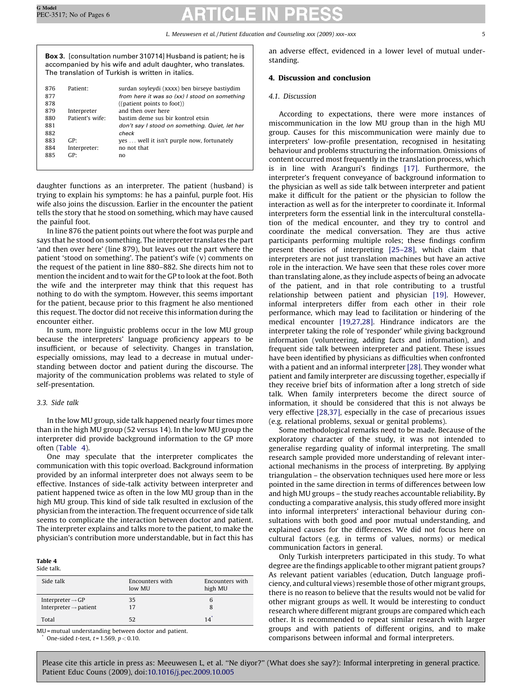<span id="page-4-0"></span>Box 3. [consultation number 310714] Husband is patient; he is accompanied by his wife and adult daughter, who translates. The translation of Turkish is written in italics.

| 876 | Patient <sup>.</sup> | surdan soyleydi (xxxx) ben birseye bastiydim   |
|-----|----------------------|------------------------------------------------|
| 877 |                      | from here it was so (xx) I stood on something  |
| 878 |                      | $(($ patient points to foot))                  |
| 879 | Interpreter          | and then over here                             |
| 880 | Patient's wife:      | bastim deme sus bir kontrol etsin              |
| 881 |                      | don't say I stood on something. Quiet, let her |
| 882 |                      | check                                          |
| 883 | GP                   | yes  well it isn't purple now, fortunately     |
| 884 | Interpreter:         | no not that                                    |
| 885 | GP                   | no                                             |
|     |                      |                                                |

daughter functions as an interpreter. The patient (husband) is trying to explain his symptoms: he has a painful, purple foot. His wife also joins the discussion. Earlier in the encounter the patient tells the story that he stood on something, which may have caused the painful foot.

In line 876 the patient points out where the foot was purple and says that he stood on something. The interpreter translates the part 'and then over here' (line 879), but leaves out the part where the patient 'stood on something'. The patient's wife (v) comments on the request of the patient in line 880–882. She directs him not to mention the incident and to wait for the GP to look at the foot. Both the wife and the interpreter may think that this request has nothing to do with the symptom. However, this seems important for the patient, because prior to this fragment he also mentioned this request. The doctor did not receive this information during the encounter either.

In sum, more linguistic problems occur in the low MU group because the interpreters' language proficiency appears to be insufficient, or because of selectivity. Changes in translation, especially omissions, may lead to a decrease in mutual understanding between doctor and patient during the discourse. The majority of the communication problems was related to style of self-presentation.

# 3.3. Side talk

In the low MU group, side talk happened nearly four times more than in the high MU group (52 versus 14). In the low MU group the interpreter did provide background information to the GP more often (Table 4).

One may speculate that the interpreter complicates the communication with this topic overload. Background information provided by an informal interpreter does not always seem to be effective. Instances of side-talk activity between interpreter and patient happened twice as often in the low MU group than in the high MU group. This kind of side talk resulted in exclusion of the physician from the interaction. The frequent occurrence of side talk seems to complicate the interaction between doctor and patient. The interpreter explains and talks more to the patient, to make the physician's contribution more understandable, but in fact this has

#### Table 4 Side talk.

| www.cam                           |                           |                            |
|-----------------------------------|---------------------------|----------------------------|
| Side talk                         | Encounters with<br>low MU | Encounters with<br>high MU |
| Interpreter $\rightarrow$ GP      | 35                        | 6                          |
| Interpreter $\rightarrow$ patient | 17                        | 8                          |
| Total                             | 52                        | 14                         |

MU = mutual understanding between doctor and patient. One-sided t-test,  $t = 1.569$ ,  $p < 0.10$ .

an adverse effect, evidenced in a lower level of mutual understanding.

# 4. Discussion and conclusion

# 4.1. Discussion

According to expectations, there were more instances of miscommunication in the low MU group than in the high MU group. Causes for this miscommunication were mainly due to interpreters' low-profile presentation, recognised in hesitating behaviour and problems structuring the information. Omissions of content occurred most frequently in the translation process, which is in line with Aranguri's findings [\[17\]](#page-5-0). Furthermore, the interpreter's frequent conveyance of background information to the physician as well as side talk between interpreter and patient make it difficult for the patient or the physician to follow the interaction as well as for the interpreter to coordinate it. Informal interpreters form the essential link in the intercultural constellation of the medical encounter, and they try to control and coordinate the medical conversation. They are thus active participants performing multiple roles; these findings confirm present theories of interpreting [\[25–28\],](#page-5-0) which claim that interpreters are not just translation machines but have an active role in the interaction. We have seen that these roles cover more than translating alone, as they include aspects of being an advocate of the patient, and in that role contributing to a trustful relationship between patient and physician [\[19\].](#page-5-0) However, informal interpreters differ from each other in their role performance, which may lead to facilitation or hindering of the medical encounter [\[19,27,28\]](#page-5-0). Hindrance indicators are the interpreter taking the role of 'responder' while giving background information (volunteering, adding facts and information), and frequent side talk between interpreter and patient. These issues have been identified by physicians as difficulties when confronted with a patient and an informal interpreter [\[28\].](#page-5-0) They wonder what patient and family interpreter are discussing together, especially if they receive brief bits of information after a long stretch of side talk. When family interpreters become the direct source of information, it should be considered that this is not always be very effective [\[28,37\]](#page-5-0), especially in the case of precarious issues (e.g. relational problems, sexual or genital problems).

Some methodological remarks need to be made. Because of the exploratory character of the study, it was not intended to generalise regarding quality of informal interpreting. The small research sample provided more understanding of relevant interactional mechanisms in the process of interpreting. By applying triangulation – the observation techniques used here more or less pointed in the same direction in terms of differences between low and high MU groups – the study reaches accountable reliability. By conducting a comparative analysis, this study offered more insight into informal interpreters' interactional behaviour during consultations with both good and poor mutual understanding, and explained causes for the differences. We did not focus here on cultural factors (e.g. in terms of values, norms) or medical communication factors in general.

Only Turkish interpreters participated in this study. To what degree are the findings applicable to other migrant patient groups? As relevant patient variables (education, Dutch language proficiency, and cultural views) resemble those of other migrant groups, there is no reason to believe that the results would not be valid for other migrant groups as well. It would be interesting to conduct research where different migrant groups are compared which each other. It is recommended to repeat similar research with larger groups and with patients of different origins, and to make comparisons between informal and formal interpreters.